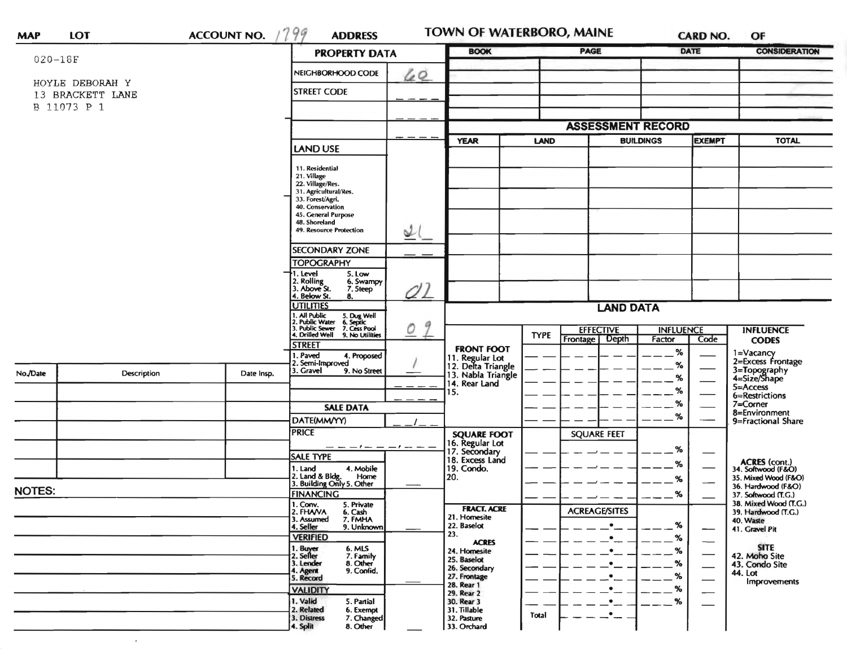|               |                                     |            | <b>PROPERTY DATA</b>                                                                                                     | <b>BOOK</b>                               | PAGE                                                        | <b>DATE</b>                        | <b>CONSIDERATION</b>                         |  |  |
|---------------|-------------------------------------|------------|--------------------------------------------------------------------------------------------------------------------------|-------------------------------------------|-------------------------------------------------------------|------------------------------------|----------------------------------------------|--|--|
| $020 - 18F$   |                                     |            |                                                                                                                          |                                           |                                                             |                                    |                                              |  |  |
|               |                                     |            | 60<br>NEIGHBORHOOD CODE                                                                                                  |                                           |                                                             |                                    |                                              |  |  |
|               | HOYLE DEBORAH Y<br>13 BRACKETT LANE |            | <b>STREET CODE</b>                                                                                                       |                                           |                                                             |                                    |                                              |  |  |
| B 11073 P 1   |                                     |            |                                                                                                                          |                                           |                                                             |                                    |                                              |  |  |
|               |                                     |            |                                                                                                                          |                                           |                                                             |                                    |                                              |  |  |
|               |                                     |            |                                                                                                                          | <b>ASSESSMENT RECORD</b>                  |                                                             |                                    |                                              |  |  |
|               |                                     |            | LAND USE                                                                                                                 | <b>YEAR</b>                               | LAND                                                        | <b>BUILDINGS</b><br><b>EXEMPT</b>  | <b>TOTAL</b>                                 |  |  |
|               |                                     |            | 11. Residential                                                                                                          |                                           |                                                             |                                    |                                              |  |  |
|               |                                     |            | 21. Village                                                                                                              |                                           |                                                             |                                    |                                              |  |  |
|               |                                     |            | 22. Village/Res.<br>31. Agricultural/Res.                                                                                |                                           |                                                             |                                    |                                              |  |  |
|               |                                     |            | 33. Forest/Agri.<br>40. Conservation                                                                                     |                                           |                                                             |                                    |                                              |  |  |
|               |                                     |            | 45. General Purpose                                                                                                      |                                           |                                                             |                                    |                                              |  |  |
|               |                                     |            | 48. Shoreland<br>49. Resource Protection<br>st                                                                           |                                           |                                                             |                                    |                                              |  |  |
|               |                                     |            |                                                                                                                          |                                           |                                                             |                                    |                                              |  |  |
|               |                                     |            | <b>SECONDARY ZONE</b>                                                                                                    |                                           |                                                             |                                    |                                              |  |  |
|               |                                     |            | <b>TOPOGRAPHY</b><br>1. Level<br>5. Low                                                                                  |                                           |                                                             |                                    |                                              |  |  |
|               |                                     |            | 2. Rolling<br>3. Above St.<br>6. Swampy                                                                                  |                                           |                                                             |                                    |                                              |  |  |
|               |                                     |            | 7. Steep<br>. Below St.<br>8.                                                                                            | 01                                        |                                                             |                                    |                                              |  |  |
|               |                                     |            | <b>UTILITIES</b>                                                                                                         |                                           | <b>LAND DATA</b>                                            |                                    |                                              |  |  |
|               |                                     |            | 1. All Public 5. Dug Well<br>2. Public Water 6. Septic<br>3. Public Sewer 7. Cess Pool<br>4. Drilled Well 9. No Utilitie | 9                                         |                                                             |                                    |                                              |  |  |
|               |                                     |            | 0<br>9. No Utilities                                                                                                     |                                           | <b>EFFECTIVE</b><br><b>TYPE</b><br><b>Depth</b><br>Frontage | <b>INFLUENCE</b><br>Factor<br>Code | <b>INFLUENCE</b><br><b>CODES</b>             |  |  |
|               |                                     |            | <b>STREET</b>                                                                                                            | <b>FRONT FOOT</b>                         |                                                             | $\%$                               | 1=Vacancy                                    |  |  |
|               |                                     |            | . Paved<br>4. Proposed<br>2. Semi-Improved                                                                               | 11. Regular Lot<br>12. Delta Triangle     |                                                             | $\%$                               | 2=Excess Frontage                            |  |  |
| No./Date      | <b>Description</b>                  | Date Insp. | 3. Gravel<br>9. No Street                                                                                                | 13. Nabla Triangle                        |                                                             | %                                  | 3=Topography<br>4=Size/Shape                 |  |  |
|               |                                     |            |                                                                                                                          | 14. Rear Land<br>15.                      |                                                             | %                                  | 5=Access                                     |  |  |
|               |                                     |            |                                                                                                                          |                                           |                                                             | %                                  | 6=Restrictions<br>7=Corner                   |  |  |
|               |                                     |            | <b>SALE DATA</b>                                                                                                         |                                           |                                                             | %                                  | 8=Environment                                |  |  |
|               |                                     |            | DATE(MM/YY)<br><b>PRICE</b>                                                                                              |                                           |                                                             |                                    | 9=Fractional Share                           |  |  |
|               |                                     |            |                                                                                                                          | <b>SQUARE FOOT</b><br>16. Regular Lot     | <b>SQUARE FEET</b>                                          |                                    |                                              |  |  |
|               |                                     |            | — — — / — — — / — — —<br><b>SALE TYPE</b>                                                                                | 17. Secondary<br>18. Excess Land          |                                                             | %                                  |                                              |  |  |
|               |                                     |            | 1. Land<br>4. Mobile                                                                                                     | 19. Condo.                                |                                                             | ℅                                  | ACRES (cont.)<br>34. Softwood (F&O)          |  |  |
|               |                                     |            | 2. Land & Bldg.<br>Home<br>3. Building Only 5. Other                                                                     | 20.                                       |                                                             | %                                  | 35. Mixed Wood (F&O)                         |  |  |
| <b>NOTES:</b> |                                     |            | <b>FINANCING</b>                                                                                                         |                                           |                                                             | %                                  | 36. Hardwood (F&O)<br>37. Softwood (T.G.)    |  |  |
|               |                                     |            | 1. Conv.<br>5. Private<br>2. FHAVA<br>6. Cash                                                                            | <b>FRACT. ACRE</b>                        | <b>ACREAGE/SITES</b>                                        |                                    | 38. Mixed Wood (T.G.)<br>39. Hardwood (T.G.) |  |  |
|               |                                     |            | 7. FMHA<br>3. Assumed                                                                                                    | 21. Homesite<br>22. Baselot               |                                                             | %                                  | 40. Waste                                    |  |  |
|               |                                     |            | 4. Seller<br>9. Unknown<br><b>VERIFIED</b>                                                                               | 23.                                       | ٠                                                           | %                                  | 41. Gravel Pit                               |  |  |
|               |                                     |            | 6. MLS                                                                                                                   | <b>ACRES</b><br>24. Homesite              | $\bullet$                                                   | $\hspace{0.05cm}$<br>%             | <b>SITE</b>                                  |  |  |
|               |                                     |            | 1. Buyer<br>2. Seller<br>7. Family<br>8. Other<br>3. Lender                                                              | 25. Baselot                               | $\bullet$                                                   | $\overbrace{\phantom{aaaaa}}$<br>% | 42. Moho Site                                |  |  |
|               |                                     |            | 9. Confid.<br>4. Agent                                                                                                   | 26. Secondary<br>27. Frontage             |                                                             | $\overbrace{\phantom{aaaaa}}$<br>% | 43. Condo Site<br>44. Lot                    |  |  |
|               |                                     |            | 5. Record<br><b>VALIDITY</b>                                                                                             | 28. Rear 1                                |                                                             | $\overbrace{\hspace{15em}}$<br>%   | Improvements                                 |  |  |
|               |                                     |            |                                                                                                                          | 29. Rear 2                                |                                                             |                                    |                                              |  |  |
|               |                                     |            |                                                                                                                          |                                           |                                                             |                                    |                                              |  |  |
|               |                                     |            | 1. Valid<br>5. Partial<br>2. Related<br>6. Exempt<br>3. Distress<br>7. Changed                                           | 30. Rear 3<br>31. Tillable<br>32. Pasture | Total                                                       | %                                  |                                              |  |  |

 $\bullet$